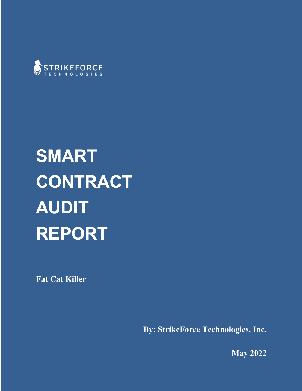

# **SMART CONTRACT AUDIT REPORT**

**Fat Cat Killer**

**By: StrikeForce Technologies, Inc.**

**May 2022**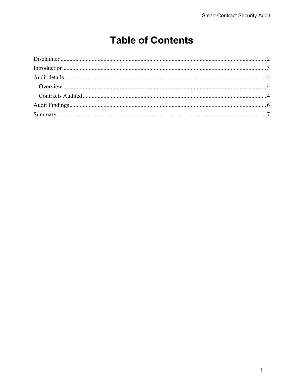#### **Table of Contents**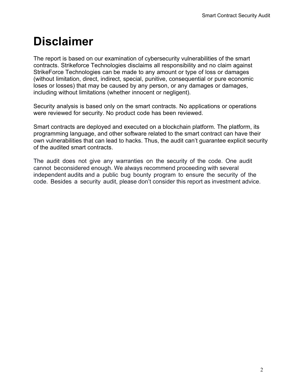# **Disclaimer**

The report is based on our examination of cybersecurity vulnerabilities of the smart contracts. Strikeforce Technologies disclaims all responsibility and no claim against StrikeForce Technologies can be made to any amount or type of loss or damages (without limitation, direct, indirect, special, punitive, consequential or pure economic loses or losses) that may be caused by any person, or any damages or damages, including without limitations (whether innocent or negligent).

Security analysis is based only on the smart contracts. No applications or operations were reviewed for security. No product code has been reviewed.

Smart contracts are deployed and executed on a blockchain platform. The platform, its programming language, and other software related to the smart contract can have their own vulnerabilities that can lead to hacks. Thus, the audit can't guarantee explicit security of the audited smart contracts.

The audit does not give any warranties on the security of the code. One audit cannot beconsidered enough. We always recommend proceeding with several independent audits and a public bug bounty program to ensure the security of the code. Besides a security audit, please don't consider this report as investment advice.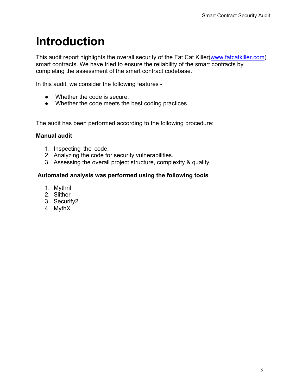### **Introduction**

This audit report highlights the overall security of the Fat Cat Killer(www.fatcatkiller.com) smart contracts. We have tried to ensure the reliability of the smart contracts by completing the assessment of the smart contract codebase.

In this audit, we consider the following features -

- Whether the code is secure.
- Whether the code meets the best coding practices.

The audit has been performed according to the following procedure:

#### **Manual audit**

- 1. Inspecting the code.
- 2. Analyzing the code for security vulnerabilities.
- 3. Assessing the overall project structure, complexity & quality.

#### **Automated analysis was performed using the following tools**

- 1. Mythril
- 2. Slither
- 3. Securify2
- 4. MythX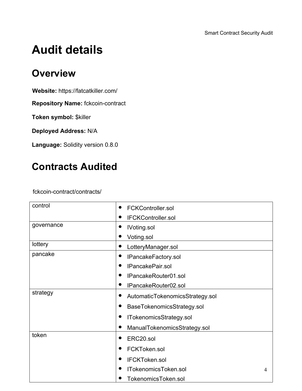# **Audit details**

#### **Overview**

**Website:** https://fatcatkiller.com/

**Repository Name:** fckcoin-contract

**Token symbol:** \$killer

**Deployed Address:** N/A

**Language:** Solidity version 0.8.0

#### **Contracts Audited**

fckcoin-contract/contracts/

| control    | <b>FCKController.sol</b>        |  |
|------------|---------------------------------|--|
|            | <b>IFCKController.sol</b>       |  |
| governance | <b>IVoting.sol</b>              |  |
|            | Voting.sol                      |  |
| lottery    | LotteryManager.sol              |  |
| pancake    | IPancakeFactory.sol             |  |
|            | IPancakePair.sol                |  |
|            | IPancakeRouter01.sol            |  |
|            | IPancakeRouter02.sol            |  |
| strategy   | AutomaticTokenomicsStrategy.sol |  |
|            | BaseTokenomicsStrategy.sol      |  |
|            | ITokenomicsStrategy.sol         |  |
|            | ManualTokenomicsStrategy.sol    |  |
| token      | ERC20.sol                       |  |
|            | FCKToken.sol                    |  |
|            | <b>IFCKToken.sol</b>            |  |
|            | ITokenomicsToken.sol<br>4       |  |
|            | TokenomicsToken.sol             |  |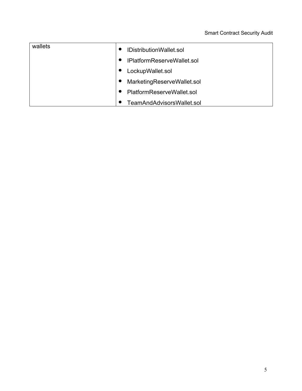| wallets                                                              | IDistributionWallet.sol                       |  |
|----------------------------------------------------------------------|-----------------------------------------------|--|
|                                                                      | IPlatformReserveWallet.sol<br>$\bullet$       |  |
|                                                                      | LockupWallet.sol                              |  |
| MarketingReserveWallet.sol<br>$\bullet$<br>PlatformReserveWallet.sol |                                               |  |
|                                                                      |                                               |  |
|                                                                      | <b>FeamAndAdvisorsWallet.sol</b><br>$\bullet$ |  |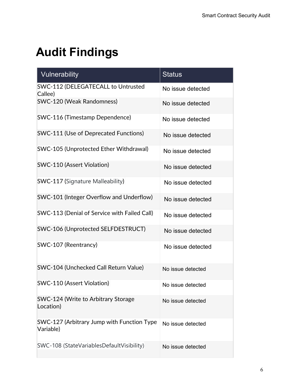# **Audit Findings**

| Vulnerability                                           | <b>Status</b>     |
|---------------------------------------------------------|-------------------|
| SWC-112 (DELEGATECALL to Untrusted<br>Callee)           | No issue detected |
| SWC-120 (Weak Randomness)                               | No issue detected |
| <b>SWC-116 (Timestamp Dependence)</b>                   | No issue detected |
| <b>SWC-111 (Use of Deprecated Functions)</b>            | No issue detected |
| SWC-105 (Unprotected Ether Withdrawal)                  | No issue detected |
| <b>SWC-110 (Assert Violation)</b>                       | No issue detected |
| <b>SWC-117 (Signature Malleability)</b>                 | No issue detected |
| SWC-101 (Integer Overflow and Underflow)                | No issue detected |
| SWC-113 (Denial of Service with Failed Call)            | No issue detected |
| SWC-106 (Unprotected SELFDESTRUCT)                      | No issue detected |
| SWC-107 (Reentrancy)                                    | No issue detected |
| SWC-104 (Unchecked Call Return Value)                   | No issue detected |
| <b>SWC-110 (Assert Violation)</b>                       | No issue detected |
| SWC-124 (Write to Arbitrary Storage<br>Location)        | No issue detected |
| SWC-127 (Arbitrary Jump with Function Type<br>Variable) | No issue detected |
| SWC-108 (StateVariablesDefaultVisibility)               | No issue detected |